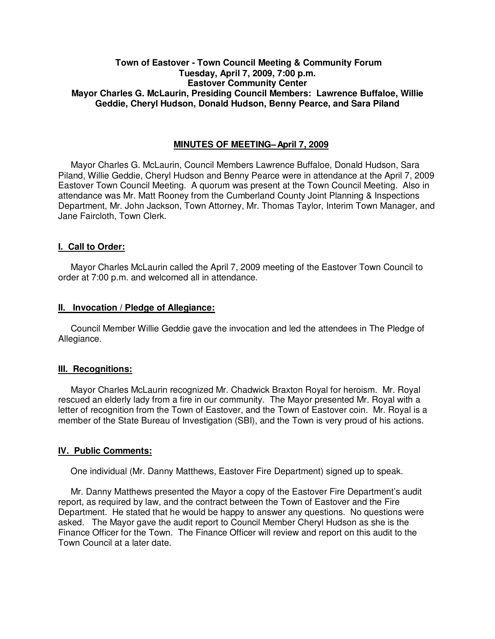# **Town of Eastover - Town Council Meeting & Community Forum Tuesday, April 7, 2009, 7:00 p.m. Eastover Community Center Mayor Charles G. McLaurin, Presiding Council Members: Lawrence Buffaloe, Willie Geddie, Cheryl Hudson, Donald Hudson, Benny Pearce, and Sara Piland**

## **MINUTES OF MEETING – April 7, 2009**

Mayor Charles G. McLaurin, Council Members Lawrence Buffaloe, Donald Hudson, Sara Piland, Willie Geddie, Cheryl Hudson and Benny Pearce were in attendance at the April 7, 2009 Eastover Town Council Meeting. A quorum was present at the Town Council Meeting. Also in attendance was Mr. Matt Rooney from the Cumberland County Joint Planning & Inspections Department, Mr. John Jackson, Town Attorney, Mr. Thomas Taylor, Interim Town Manager, and Jane Faircloth, Town Clerk.

## **I. Call to Order:**

Mayor Charles McLaurin called the April 7, 2009 meeting of the Eastover Town Council to order at 7:00 p.m. and welcomed all in attendance.

### **II. Invocation / Pledge of Allegiance:**

 Council Member Willie Geddie gave the invocation and led the attendees in The Pledge of Allegiance.

## **III. Recognitions:**

 Mayor Charles McLaurin recognized Mr. Chadwick Braxton Royal for heroism. Mr. Royal rescued an elderly lady from a fire in our community. The Mayor presented Mr. Royal with a letter of recognition from the Town of Eastover, and the Town of Eastover coin. Mr. Royal is a member of the State Bureau of Investigation (SBI), and the Town is very proud of his actions.

## **IV. Public Comments:**

One individual (Mr. Danny Matthews, Eastover Fire Department) signed up to speak.

 Mr. Danny Matthews presented the Mayor a copy of the Eastover Fire Department's audit report, as required by law, and the contract between the Town of Eastover and the Fire Department. He stated that he would be happy to answer any questions. No questions were asked. The Mayor gave the audit report to Council Member Cheryl Hudson as she is the Finance Officer for the Town. The Finance Officer will review and report on this audit to the Town Council at a later date.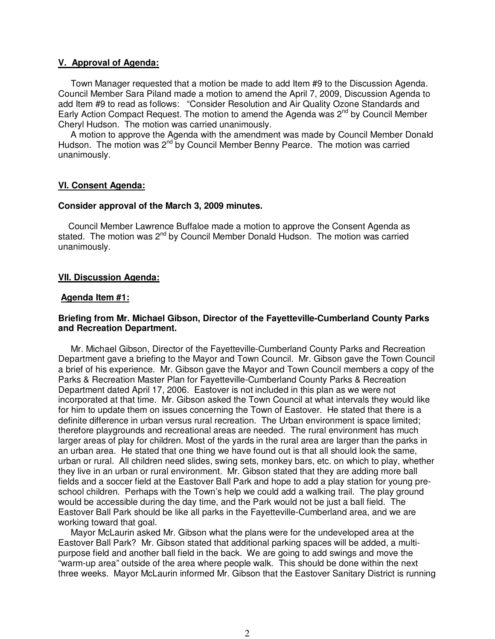## **V. Approval of Agenda:**

 Town Manager requested that a motion be made to add Item #9 to the Discussion Agenda. Council Member Sara Piland made a motion to amend the April 7, 2009, Discussion Agenda to add Item #9 to read as follows: "Consider Resolution and Air Quality Ozone Standards and Early Action Compact Request. The motion to amend the Agenda was  $2^{nd}$  by Council Member Cheryl Hudson. The motion was carried unanimously.

 A motion to approve the Agenda with the amendment was made by Council Member Donald Hudson. The motion was 2<sup>nd</sup> by Council Member Benny Pearce. The motion was carried unanimously.

### **VI. Consent Agenda:**

#### **Consider approval of the March 3, 2009 minutes.**

 Council Member Lawrence Buffaloe made a motion to approve the Consent Agenda as stated. The motion was  $2^{nd}$  by Council Member Donald Hudson. The motion was carried unanimously.

### **VII. Discussion Agenda:**

#### **Agenda Item #1:**

## **Briefing from Mr. Michael Gibson, Director of the Fayetteville-Cumberland County Parks and Recreation Department.**

 Mr. Michael Gibson, Director of the Fayetteville-Cumberland County Parks and Recreation Department gave a briefing to the Mayor and Town Council. Mr. Gibson gave the Town Council a brief of his experience. Mr. Gibson gave the Mayor and Town Council members a copy of the Parks & Recreation Master Plan for Fayetteville-Cumberland County Parks & Recreation Department dated April 17, 2006. Eastover is not included in this plan as we were not incorporated at that time. Mr. Gibson asked the Town Council at what intervals they would like for him to update them on issues concerning the Town of Eastover. He stated that there is a definite difference in urban versus rural recreation. The Urban environment is space limited; therefore playgrounds and recreational areas are needed. The rural environment has much larger areas of play for children. Most of the yards in the rural area are larger than the parks in an urban area. He stated that one thing we have found out is that all should look the same, urban or rural. All children need slides, swing sets, monkey bars, etc. on which to play, whether they live in an urban or rural environment. Mr. Gibson stated that they are adding more ball fields and a soccer field at the Eastover Ball Park and hope to add a play station for young preschool children. Perhaps with the Town's help we could add a walking trail. The play ground would be accessible during the day time, and the Park would not be just a ball field. The Eastover Ball Park should be like all parks in the Fayetteville-Cumberland area, and we are working toward that goal.

 Mayor McLaurin asked Mr. Gibson what the plans were for the undeveloped area at the Eastover Ball Park? Mr. Gibson stated that additional parking spaces will be added, a multipurpose field and another ball field in the back. We are going to add swings and move the "warm-up area" outside of the area where people walk. This should be done within the next three weeks. Mayor McLaurin informed Mr. Gibson that the Eastover Sanitary District is running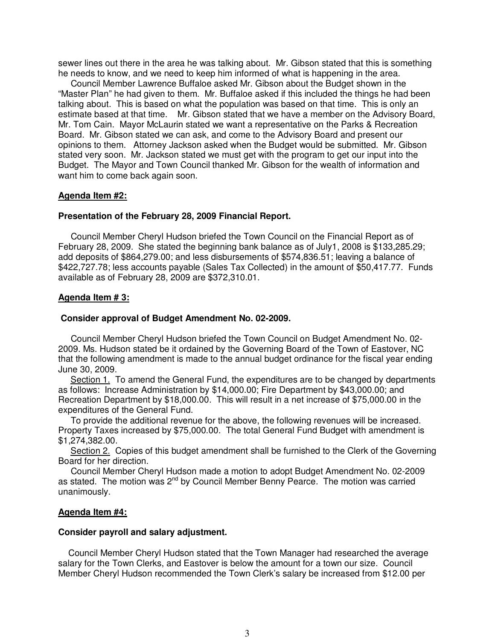sewer lines out there in the area he was talking about. Mr. Gibson stated that this is something he needs to know, and we need to keep him informed of what is happening in the area.

 Council Member Lawrence Buffaloe asked Mr. Gibson about the Budget shown in the "Master Plan" he had given to them. Mr. Buffaloe asked if this included the things he had been talking about. This is based on what the population was based on that time. This is only an estimate based at that time. Mr. Gibson stated that we have a member on the Advisory Board, Mr. Tom Cain. Mayor McLaurin stated we want a representative on the Parks & Recreation Board. Mr. Gibson stated we can ask, and come to the Advisory Board and present our opinions to them. Attorney Jackson asked when the Budget would be submitted. Mr. Gibson stated very soon. Mr. Jackson stated we must get with the program to get our input into the Budget. The Mayor and Town Council thanked Mr. Gibson for the wealth of information and want him to come back again soon.

#### **Agenda Item #2:**

#### **Presentation of the February 28, 2009 Financial Report.**

Council Member Cheryl Hudson briefed the Town Council on the Financial Report as of February 28, 2009. She stated the beginning bank balance as of July1, 2008 is \$133,285.29; add deposits of \$864,279.00; and less disbursements of \$574,836.51; leaving a balance of \$422,727.78; less accounts payable (Sales Tax Collected) in the amount of \$50,417.77. Funds available as of February 28, 2009 are \$372,310.01.

#### **Agenda Item # 3:**

# **Consider approval of Budget Amendment No. 02-2009.**

Council Member Cheryl Hudson briefed the Town Council on Budget Amendment No. 02- 2009. Ms. Hudson stated be it ordained by the Governing Board of the Town of Eastover, NC that the following amendment is made to the annual budget ordinance for the fiscal year ending June 30, 2009.

 Section 1. To amend the General Fund, the expenditures are to be changed by departments as follows: Increase Administration by \$14,000.00; Fire Department by \$43,000.00; and Recreation Department by \$18,000.00. This will result in a net increase of \$75,000.00 in the expenditures of the General Fund.

 To provide the additional revenue for the above, the following revenues will be increased. Property Taxes increased by \$75,000.00. The total General Fund Budget with amendment is \$1,274,382.00.

 Section 2. Copies of this budget amendment shall be furnished to the Clerk of the Governing Board for her direction.

 Council Member Cheryl Hudson made a motion to adopt Budget Amendment No. 02-2009 as stated. The motion was  $2^{nd}$  by Council Member Benny Pearce. The motion was carried unanimously.

#### **Agenda Item #4:**

#### **Consider payroll and salary adjustment.**

Council Member Cheryl Hudson stated that the Town Manager had researched the average salary for the Town Clerks, and Eastover is below the amount for a town our size. Council Member Cheryl Hudson recommended the Town Clerk's salary be increased from \$12.00 per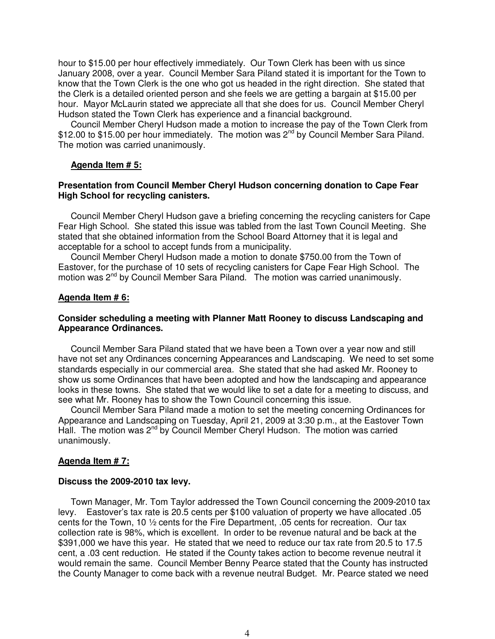hour to \$15.00 per hour effectively immediately. Our Town Clerk has been with us since January 2008, over a year. Council Member Sara Piland stated it is important for the Town to know that the Town Clerk is the one who got us headed in the right direction. She stated that the Clerk is a detailed oriented person and she feels we are getting a bargain at \$15.00 per hour. Mayor McLaurin stated we appreciate all that she does for us. Council Member Cheryl Hudson stated the Town Clerk has experience and a financial background.

 Council Member Cheryl Hudson made a motion to increase the pay of the Town Clerk from \$12.00 to \$15.00 per hour immediately. The motion was 2<sup>nd</sup> by Council Member Sara Piland. The motion was carried unanimously.

### **Agenda Item # 5:**

## **Presentation from Council Member Cheryl Hudson concerning donation to Cape Fear High School for recycling canisters.**

 Council Member Cheryl Hudson gave a briefing concerning the recycling canisters for Cape Fear High School. She stated this issue was tabled from the last Town Council Meeting. She stated that she obtained information from the School Board Attorney that it is legal and acceptable for a school to accept funds from a municipality.

 Council Member Cheryl Hudson made a motion to donate \$750.00 from the Town of Eastover, for the purchase of 10 sets of recycling canisters for Cape Fear High School. The motion was  $2^{nd}$  by Council Member Sara Piland. The motion was carried unanimously.

#### **Agenda Item # 6:**

### **Consider scheduling a meeting with Planner Matt Rooney to discuss Landscaping and Appearance Ordinances.**

 Council Member Sara Piland stated that we have been a Town over a year now and still have not set any Ordinances concerning Appearances and Landscaping. We need to set some standards especially in our commercial area. She stated that she had asked Mr. Rooney to show us some Ordinances that have been adopted and how the landscaping and appearance looks in these towns. She stated that we would like to set a date for a meeting to discuss, and see what Mr. Rooney has to show the Town Council concerning this issue.

 Council Member Sara Piland made a motion to set the meeting concerning Ordinances for Appearance and Landscaping on Tuesday, April 21, 2009 at 3:30 p.m., at the Eastover Town Hall. The motion was 2<sup>nd</sup> by Council Member Cheryl Hudson. The motion was carried unanimously.

## **Agenda Item # 7:**

#### **Discuss the 2009-2010 tax levy.**

Town Manager, Mr. Tom Taylor addressed the Town Council concerning the 2009-2010 tax levy. Eastover's tax rate is 20.5 cents per \$100 valuation of property we have allocated .05 cents for the Town, 10 ½ cents for the Fire Department, .05 cents for recreation. Our tax collection rate is 98%, which is excellent. In order to be revenue natural and be back at the \$391,000 we have this year. He stated that we need to reduce our tax rate from 20.5 to 17.5 cent, a .03 cent reduction. He stated if the County takes action to become revenue neutral it would remain the same. Council Member Benny Pearce stated that the County has instructed the County Manager to come back with a revenue neutral Budget. Mr. Pearce stated we need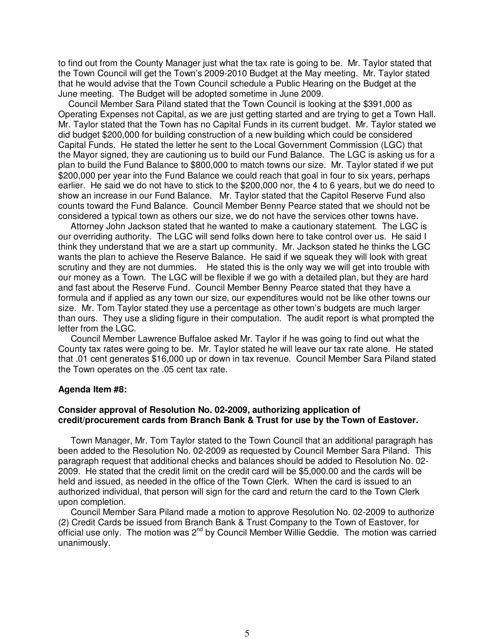to find out from the County Manager just what the tax rate is going to be. Mr. Taylor stated that the Town Council will get the Town's 2009-2010 Budget at the May meeting. Mr. Taylor stated that he would advise that the Town Council schedule a Public Hearing on the Budget at the June meeting. The Budget will be adopted sometime in June 2009.

 Council Member Sara Piland stated that the Town Council is looking at the \$391,000 as Operating Expenses not Capital, as we are just getting started and are trying to get a Town Hall. Mr. Taylor stated that the Town has no Capital Funds in its current budget. Mr. Taylor stated we did budget \$200,000 for building construction of a new building which could be considered Capital Funds. He stated the letter he sent to the Local Government Commission (LGC) that the Mayor signed, they are cautioning us to build our Fund Balance. The LGC is asking us for a plan to build the Fund Balance to \$800,000 to match towns our size. Mr. Taylor stated if we put \$200,000 per year into the Fund Balance we could reach that goal in four to six years, perhaps earlier. He said we do not have to stick to the \$200,000 nor, the 4 to 6 years, but we do need to show an increase in our Fund Balance. Mr. Taylor stated that the Capitol Reserve Fund also counts toward the Fund Balance. Council Member Benny Pearce stated that we should not be considered a typical town as others our size, we do not have the services other towns have.

 Attorney John Jackson stated that he wanted to make a cautionary statement. The LGC is our overriding authority. The LGC will send folks down here to take control over us. He said I think they understand that we are a start up community. Mr. Jackson stated he thinks the LGC wants the plan to achieve the Reserve Balance. He said if we squeak they will look with great scrutiny and they are not dummies. He stated this is the only way we will get into trouble with our money as a Town. The LGC will be flexible if we go with a detailed plan, but they are hard and fast about the Reserve Fund. Council Member Benny Pearce stated that they have a formula and if applied as any town our size, our expenditures would not be like other towns our size. Mr. Tom Taylor stated they use a percentage as other town's budgets are much larger than ours. They use a sliding figure in their computation. The audit report is what prompted the letter from the LGC.

 Council Member Lawrence Buffaloe asked Mr. Taylor if he was going to find out what the County tax rates were going to be. Mr. Taylor stated he will leave our tax rate alone. He stated that .01 cent generates \$16,000 up or down in tax revenue. Council Member Sara Piland stated the Town operates on the .05 cent tax rate.

#### **Agenda Item #8:**

### **Consider approval of Resolution No. 02-2009, authorizing application of credit/procurement cards from Branch Bank & Trust for use by the Town of Eastover.**

 Town Manager, Mr. Tom Taylor stated to the Town Council that an additional paragraph has been added to the Resolution No. 02-2009 as requested by Council Member Sara Piland. This paragraph request that additional checks and balances should be added to Resolution No. 02- 2009. He stated that the credit limit on the credit card will be \$5,000.00 and the cards will be held and issued, as needed in the office of the Town Clerk. When the card is issued to an authorized individual, that person will sign for the card and return the card to the Town Clerk upon completion.

 Council Member Sara Piland made a motion to approve Resolution No. 02-2009 to authorize (2) Credit Cards be issued from Branch Bank & Trust Company to the Town of Eastover, for official use only. The motion was  $2^{nd}$  by Council Member Willie Geddie. The motion was carried unanimously.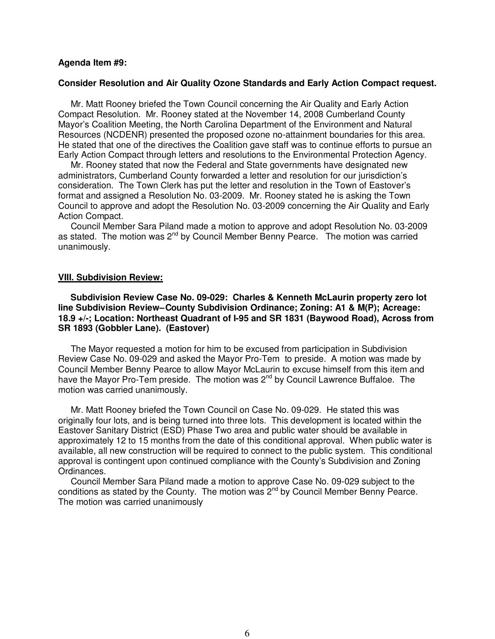### **Agenda Item #9:**

#### **Consider Resolution and Air Quality Ozone Standards and Early Action Compact request.**

 Mr. Matt Rooney briefed the Town Council concerning the Air Quality and Early Action Compact Resolution. Mr. Rooney stated at the November 14, 2008 Cumberland County Mayor's Coalition Meeting, the North Carolina Department of the Environment and Natural Resources (NCDENR) presented the proposed ozone no-attainment boundaries for this area. He stated that one of the directives the Coalition gave staff was to continue efforts to pursue an Early Action Compact through letters and resolutions to the Environmental Protection Agency.

 Mr. Rooney stated that now the Federal and State governments have designated new administrators, Cumberland County forwarded a letter and resolution for our jurisdiction's consideration. The Town Clerk has put the letter and resolution in the Town of Eastover's format and assigned a Resolution No. 03-2009. Mr. Rooney stated he is asking the Town Council to approve and adopt the Resolution No. 03-2009 concerning the Air Quality and Early Action Compact.

 Council Member Sara Piland made a motion to approve and adopt Resolution No. 03-2009 as stated. The motion was 2<sup>nd</sup> by Council Member Benny Pearce. The motion was carried unanimously.

#### **VIII. Subdivision Review:**

 **Subdivision Review Case No. 09-029: Charles & Kenneth McLaurin property zero lot**  line Subdivision Review-County Subdivision Ordinance; Zoning: A1 & M(P); Acreage: **18.9 +/-; Location: Northeast Quadrant of I-95 and SR 1831 (Baywood Road), Across from SR 1893 (Gobbler Lane). (Eastover)** 

The Mayor requested a motion for him to be excused from participation in Subdivision Review Case No. 09-029 and asked the Mayor Pro-Tem to preside. A motion was made by Council Member Benny Pearce to allow Mayor McLaurin to excuse himself from this item and have the Mayor Pro-Tem preside. The motion was 2nd by Council Lawrence Buffaloe.The motion was carried unanimously.

 Mr. Matt Rooney briefed the Town Council on Case No. 09-029. He stated this was originally four lots, and is being turned into three lots. This development is located within the Eastover Sanitary District (ESD) Phase Two area and public water should be available in approximately 12 to 15 months from the date of this conditional approval. When public water is available, all new construction will be required to connect to the public system. This conditional approval is contingent upon continued compliance with the County's Subdivision and Zoning Ordinances.

 Council Member Sara Piland made a motion to approve Case No. 09-029 subject to the conditions as stated by the County. The motion was  $2^{nd}$  by Council Member Benny Pearce. The motion was carried unanimously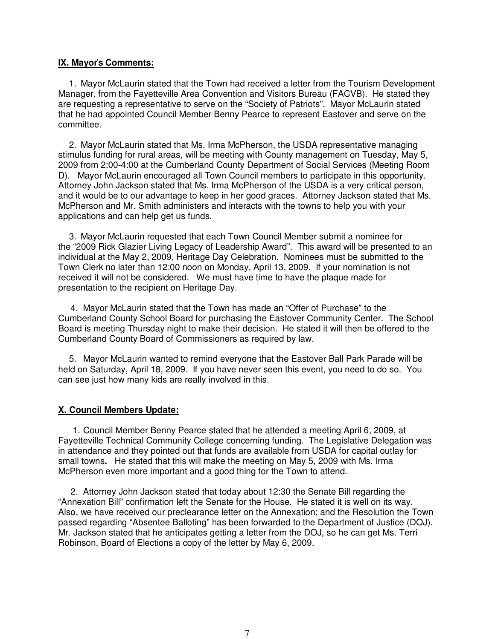# **IX. Mayor's Comments:**

1. Mayor McLaurin stated that the Town had received a letter from the Tourism Development Manager, from the Fayetteville Area Convention and Visitors Bureau (FACVB). He stated they are requesting a representative to serve on the "Society of Patriots". Mayor McLaurin stated that he had appointed Council Member Benny Pearce to represent Eastover and serve on the committee.

2. Mayor McLaurin stated that Ms. Irma McPherson, the USDA representative managing stimulus funding for rural areas, will be meeting with County management on Tuesday, May 5, 2009 from 2:00-4:00 at the Cumberland County Department of Social Services (Meeting Room D). Mayor McLaurin encouraged all Town Council members to participate in this opportunity. Attorney John Jackson stated that Ms. Irma McPherson of the USDA is a very critical person, and it would be to our advantage to keep in her good graces. Attorney Jackson stated that Ms. McPherson and Mr. Smith administers and interacts with the towns to help you with your applications and can help get us funds.

3. Mayor McLaurin requested that each Town Council Member submit a nominee for the "2009 Rick Glazier Living Legacy of Leadership Award". This award will be presented to an individual at the May 2, 2009, Heritage Day Celebration. Nominees must be submitted to the Town Clerk no later than 12:00 noon on Monday, April 13, 2009. If your nomination is not received it will not be considered. We must have time to have the plaque made for presentation to the recipient on Heritage Day.

 4. Mayor McLaurin stated that the Town has made an "Offer of Purchase" to the Cumberland County School Board for purchasing the Eastover Community Center. The School Board is meeting Thursday night to make their decision. He stated it will then be offered to the Cumberland County Board of Commissioners as required by law.

5. Mayor McLaurin wanted to remind everyone that the Eastover Ball Park Parade will be held on Saturday, April 18, 2009. If you have never seen this event, you need to do so. You can see just how many kids are really involved in this.

# **X. Council Members Update:**

1. Council Member Benny Pearce stated that he attended a meeting April 6, 2009, at Fayetteville Technical Community College concerning funding. The Legislative Delegation was in attendance and they pointed out that funds are available from USDA for capital outlay for small towns**.** He stated that this will make the meeting on May 5, 2009 with Ms. Irma McPherson even more important and a good thing for the Town to attend.

 2. Attorney John Jackson stated that today about 12:30 the Senate Bill regarding the "Annexation Bill" confirmation left the Senate for the House. He stated it is well on its way. Also, we have received our preclearance letter on the Annexation; and the Resolution the Town passed regarding "Absentee Balloting" has been forwarded to the Department of Justice (DOJ). Mr. Jackson stated that he anticipates getting a letter from the DOJ, so he can get Ms. Terri Robinson, Board of Elections a copy of the letter by May 6, 2009.